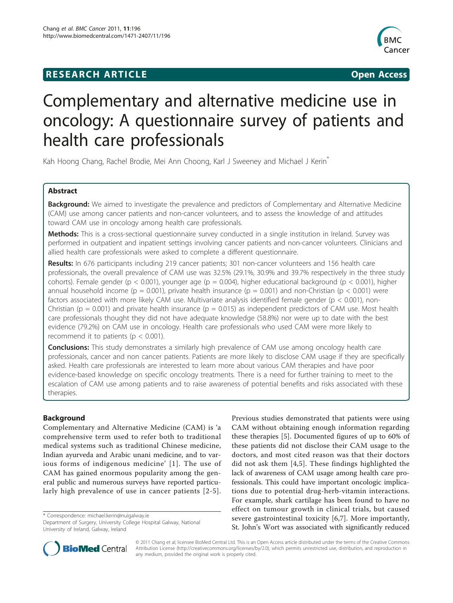# **RESEARCH ARTICLE Example 2018 CONSIDERING ACCESS**



# Complementary and alternative medicine use in oncology: A questionnaire survey of patients and health care professionals

Kah Hoong Chang, Rachel Brodie, Mei Ann Choong, Karl J Sweeney and Michael J Kerin<sup>\*</sup>

# Abstract

Background: We aimed to investigate the prevalence and predictors of Complementary and Alternative Medicine (CAM) use among cancer patients and non-cancer volunteers, and to assess the knowledge of and attitudes toward CAM use in oncology among health care professionals.

Methods: This is a cross-sectional questionnaire survey conducted in a single institution in Ireland. Survey was performed in outpatient and inpatient settings involving cancer patients and non-cancer volunteers. Clinicians and allied health care professionals were asked to complete a different questionnaire.

Results: In 676 participants including 219 cancer patients; 301 non-cancer volunteers and 156 health care professionals, the overall prevalence of CAM use was 32.5% (29.1%, 30.9% and 39.7% respectively in the three study cohorts). Female gender ( $p < 0.001$ ), younger age ( $p = 0.004$ ), higher educational background ( $p < 0.001$ ), higher annual household income (p = 0.001), private health insurance (p = 0.001) and non-Christian (p < 0.001) were factors associated with more likely CAM use. Multivariate analysis identified female gender ( $p < 0.001$ ), non-Christian ( $p = 0.001$ ) and private health insurance ( $p = 0.015$ ) as independent predictors of CAM use. Most health care professionals thought they did not have adequate knowledge (58.8%) nor were up to date with the best evidence (79.2%) on CAM use in oncology. Health care professionals who used CAM were more likely to recommend it to patients ( $p < 0.001$ ).

**Conclusions:** This study demonstrates a similarly high prevalence of CAM use among oncology health care professionals, cancer and non cancer patients. Patients are more likely to disclose CAM usage if they are specifically asked. Health care professionals are interested to learn more about various CAM therapies and have poor evidence-based knowledge on specific oncology treatments. There is a need for further training to meet to the escalation of CAM use among patients and to raise awareness of potential benefits and risks associated with these therapies.

# Background

Complementary and Alternative Medicine (CAM) is 'a comprehensive term used to refer both to traditional medical systems such as traditional Chinese medicine, Indian ayurveda and Arabic unani medicine, and to various forms of indigenous medicine' [[1](#page-7-0)]. The use of CAM has gained enormous popularity among the general public and numerous surveys have reported particularly high prevalence of use in cancer patients [\[2-5\]](#page-7-0).

\* Correspondence: [michael.kerin@nuigalway.ie](mailto:michael.kerin@nuigalway.ie)

Previous studies demonstrated that patients were using CAM without obtaining enough information regarding these therapies [[5\]](#page-7-0). Documented figures of up to 60% of these patients did not disclose their CAM usage to the doctors, and most cited reason was that their doctors did not ask them [[4,5](#page-7-0)]. These findings highlighted the lack of awareness of CAM usage among health care professionals. This could have important oncologic implications due to potential drug-herb-vitamin interactions. For example, shark cartilage has been found to have no effect on tumour growth in clinical trials, but caused severe gastrointestinal toxicity [[6,7](#page-7-0)]. More importantly, St. John's Wort was associated with significantly reduced



© 2011 Chang et al; licensee BioMed Central Ltd. This is an Open Access article distributed under the terms of the Creative Commons Attribution License [\(http://creativecommons.org/licenses/by/2.0](http://creativecommons.org/licenses/by/2.0)), which permits unrestricted use, distribution, and reproduction in any medium, provided the original work is properly cited.

Department of Surgery, University College Hospital Galway, National University of Ireland, Galway, Ireland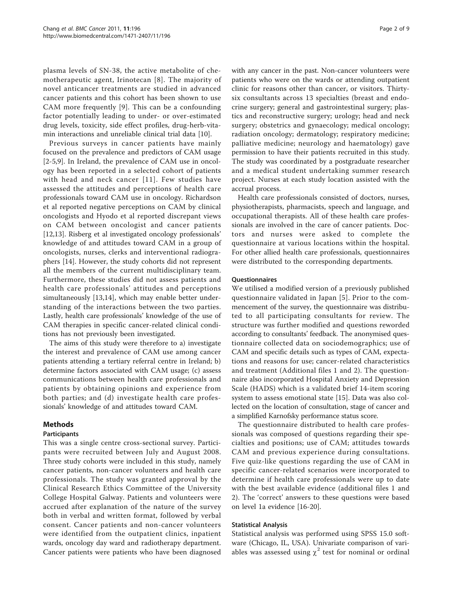plasma levels of SN-38, the active metabolite of chemotherapeutic agent, Irinotecan [[8](#page-7-0)]. The majority of novel anticancer treatments are studied in advanced cancer patients and this cohort has been shown to use CAM more frequently [[9\]](#page-7-0). This can be a confounding factor potentially leading to under- or over-estimated drug levels, toxicity, side effect profiles, drug-herb-vitamin interactions and unreliable clinical trial data [[10](#page-7-0)].

Previous surveys in cancer patients have mainly focused on the prevalence and predictors of CAM usage [[2-5](#page-7-0),[9](#page-7-0)]. In Ireland, the prevalence of CAM use in oncology has been reported in a selected cohort of patients with head and neck cancer [[11](#page-7-0)]. Few studies have assessed the attitudes and perceptions of health care professionals toward CAM use in oncology. Richardson et al reported negative perceptions on CAM by clinical oncologists and Hyodo et al reported discrepant views on CAM between oncologist and cancer patients [[12,13\]](#page-7-0). Risberg et al investigated oncology professionals' knowledge of and attitudes toward CAM in a group of oncologists, nurses, clerks and interventional radiographers [\[14](#page-7-0)]. However, the study cohorts did not represent all the members of the current multidisciplinary team. Furthermore, these studies did not assess patients and health care professionals' attitudes and perceptions simultaneously [\[13,14](#page-7-0)], which may enable better understanding of the interactions between the two parties. Lastly, health care professionals' knowledge of the use of CAM therapies in specific cancer-related clinical conditions has not previously been investigated.

The aims of this study were therefore to a) investigate the interest and prevalence of CAM use among cancer patients attending a tertiary referral centre in Ireland; b) determine factors associated with CAM usage; (c) assess communications between health care professionals and patients by obtaining opinions and experience from both parties; and (d) investigate health care professionals' knowledge of and attitudes toward CAM.

# Methods

#### Participants

This was a single centre cross-sectional survey. Participants were recruited between July and August 2008. Three study cohorts were included in this study, namely cancer patients, non-cancer volunteers and health care professionals. The study was granted approval by the Clinical Research Ethics Committee of the University College Hospital Galway. Patients and volunteers were accrued after explanation of the nature of the survey both in verbal and written format, followed by verbal consent. Cancer patients and non-cancer volunteers were identified from the outpatient clinics, inpatient wards, oncology day ward and radiotherapy department. Cancer patients were patients who have been diagnosed with any cancer in the past. Non-cancer volunteers were patients who were on the wards or attending outpatient clinic for reasons other than cancer, or visitors. Thirtysix consultants across 13 specialties (breast and endocrine surgery; general and gastrointestinal surgery; plastics and reconstructive surgery; urology; head and neck surgery; obstetrics and gynaecology; medical oncology; radiation oncology; dermatology; respiratory medicine; palliative medicine; neurology and haematology) gave permission to have their patients recruited in this study. The study was coordinated by a postgraduate researcher and a medical student undertaking summer research project. Nurses at each study location assisted with the accrual process.

Health care professionals consisted of doctors, nurses, physiotherapists, pharmacists, speech and language, and occupational therapists. All of these health care professionals are involved in the care of cancer patients. Doctors and nurses were asked to complete the questionnaire at various locations within the hospital. For other allied health care professionals, questionnaires were distributed to the corresponding departments.

#### **Ouestionnaires**

We utilised a modified version of a previously published questionnaire validated in Japan [\[5\]](#page-7-0). Prior to the commencement of the survey, the questionnaire was distributed to all participating consultants for review. The structure was further modified and questions reworded according to consultants' feedback. The anonymised questionnaire collected data on sociodemographics; use of CAM and specific details such as types of CAM, expectations and reasons for use; cancer-related characteristics and treatment (Additional files [1](#page-7-0) and [2](#page-7-0)). The questionnaire also incorporated Hospital Anxiety and Depression Scale (HADS) which is a validated brief 14-item scoring system to assess emotional state [[15\]](#page-7-0). Data was also collected on the location of consultation, stage of cancer and a simplified Karnofsky performance status score.

The questionnaire distributed to health care professionals was composed of questions regarding their specialties and positions; use of CAM; attitudes towards CAM and previous experience during consultations. Five quiz-like questions regarding the use of CAM in specific cancer-related scenarios were incorporated to determine if health care professionals were up to date with the best available evidence (additional files 1 and 2). The 'correct' answers to these questions were based on level 1a evidence [\[16](#page-7-0)[-20](#page-8-0)].

# Statistical Analysis

Statistical analysis was performed using SPSS 15.0 software (Chicago, IL, USA). Univariate comparison of variables was assessed using  $\chi^2$  test for nominal or ordinal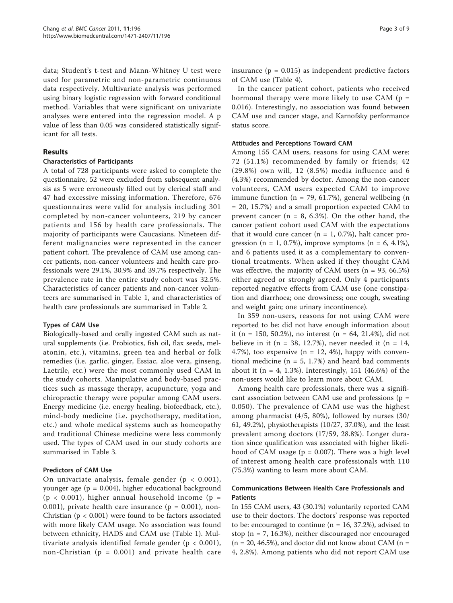data; Student's t-test and Mann-Whitney U test were used for parametric and non-parametric continuous data respectively. Multivariate analysis was performed using binary logistic regression with forward conditional method. Variables that were significant on univariate analyses were entered into the regression model. A p value of less than 0.05 was considered statistically significant for all tests.

# Results

# Characteristics of Participants

A total of 728 participants were asked to complete the questionnaire, 52 were excluded from subsequent analysis as 5 were erroneously filled out by clerical staff and 47 had excessive missing information. Therefore, 676 questionnaires were valid for analysis including 301 completed by non-cancer volunteers, 219 by cancer patients and 156 by health care professionals. The majority of participants were Caucasians. Nineteen different malignancies were represented in the cancer patient cohort. The prevalence of CAM use among cancer patients, non-cancer volunteers and health care professionals were 29.1%, 30.9% and 39.7% respectively. The prevalence rate in the entire study cohort was 32.5%. Characteristics of cancer patients and non-cancer volunteers are summarised in Table [1](#page-3-0), and characteristics of health care professionals are summarised in Table [2.](#page-4-0)

# Types of CAM Use

Biologically-based and orally ingested CAM such as natural supplements (i.e. Probiotics, fish oil, flax seeds, melatonin, etc.), vitamins, green tea and herbal or folk remedies (i.e. garlic, ginger, Essiac, aloe vera, ginseng, Laetrile, etc.) were the most commonly used CAM in the study cohorts. Manipulative and body-based practices such as massage therapy, acupuncture, yoga and chiropractic therapy were popular among CAM users. Energy medicine (i.e. energy healing, biofeedback, etc.), mind-body medicine (i.e. psychotherapy, meditation, etc.) and whole medical systems such as homeopathy and traditional Chinese medicine were less commonly used. The types of CAM used in our study cohorts are summarised in Table [3](#page-5-0).

# Predictors of CAM Use

On univariate analysis, female gender ( $p < 0.001$ ), younger age ( $p = 0.004$ ), higher educational background  $(p < 0.001)$ , higher annual household income  $(p =$ 0.001), private health care insurance ( $p = 0.001$ ), non-Christian ( $p < 0.001$ ) were found to be factors associated with more likely CAM usage. No association was found between ethnicity, HADS and CAM use (Table [1](#page-3-0)). Multivariate analysis identified female gender ( $p < 0.001$ ), non-Christian ( $p = 0.001$ ) and private health care insurance ( $p = 0.015$ ) as independent predictive factors of CAM use (Table [4\)](#page-5-0).

In the cancer patient cohort, patients who received hormonal therapy were more likely to use CAM ( $p =$ 0.016). Interestingly, no association was found between CAM use and cancer stage, and Karnofsky performance status score.

# Attitudes and Perceptions Toward CAM

Among 155 CAM users, reasons for using CAM were: 72 (51.1%) recommended by family or friends; 42 (29.8%) own will, 12 (8.5%) media influence and 6 (4.3%) recommended by doctor. Among the non-cancer volunteers, CAM users expected CAM to improve immune function ( $n = 79, 61.7\%$ ), general wellbeing (n = 20, 15.7%) and a small proportion expected CAM to prevent cancer ( $n = 8$ , 6.3%). On the other hand, the cancer patient cohort used CAM with the expectations that it would cure cancer ( $n = 1$ , 0.7%), halt cancer progression (n = 1, 0.7%), improve symptoms (n = 6, 4.1%), and 6 patients used it as a complementary to conventional treatments. When asked if they thought CAM was effective, the majority of CAM users  $(n = 93, 66.5\%)$ either agreed or strongly agreed. Only 4 participants reported negative effects from CAM use (one constipation and diarrhoea; one drowsiness; one cough, sweating and weight gain; one urinary incontinence).

In 359 non-users, reasons for not using CAM were reported to be: did not have enough information about it (n = 150, 50.2%), no interest (n = 64, 21.4%), did not believe in it (n = 38, 12.7%), never needed it (n = 14, 4.7%), too expensive  $(n = 12, 4\%)$ , happy with conventional medicine ( $n = 5$ , 1.7%) and heard bad comments about it ( $n = 4, 1.3\%$ ). Interestingly, 151 (46.6%) of the non-users would like to learn more about CAM.

Among health care professionals, there was a significant association between CAM use and professions ( $p =$ 0.050). The prevalence of CAM use was the highest among pharmacist (4/5, 80%), followed by nurses (30/ 61, 49.2%), physiotherapists (10/27, 37.0%), and the least prevalent among doctors (17/59, 28.8%). Longer duration since qualification was associated with higher likelihood of CAM usage ( $p = 0.007$ ). There was a high level of interest among health care professionals with 110 (75.3%) wanting to learn more about CAM.

# Communications Between Health Care Professionals and Patients

In 155 CAM users, 43 (30.1%) voluntarily reported CAM use to their doctors. The doctors' response was reported to be: encouraged to continue ( $n = 16, 37.2$ %), advised to stop (n = 7, 16.3%), neither discouraged nor encouraged  $(n = 20, 46.5\%)$ , and doctor did not know about CAM  $(n = 10, 100)$ 4, 2.8%). Among patients who did not report CAM use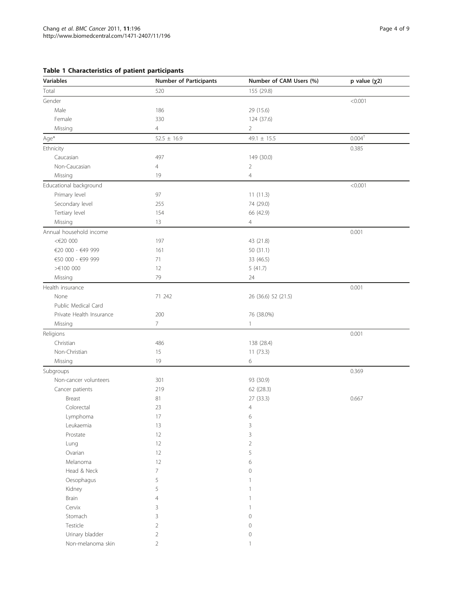# <span id="page-3-0"></span>Table 1 Characteristics of patient participants

| <b>Variables</b>         | <b>Number of Participants</b> | Number of CAM Users (%) | p value $(\chi 2)$ |
|--------------------------|-------------------------------|-------------------------|--------------------|
| Total                    | 520                           | 155 (29.8)              |                    |
| Gender                   |                               |                         | < 0.001            |
| Male                     | 186                           | 29 (15.6)               |                    |
| Female                   | 330                           | 124 (37.6)              |                    |
| Missing                  | $\overline{4}$                | $\overline{2}$          |                    |
| $Age*$                   | $52.5 \pm 16.9$               | 49.1 $\pm$ 15.5         | $0.004^{\dagger}$  |
| Ethnicity                |                               |                         | 0.385              |
| Caucasian                | 497                           | 149 (30.0)              |                    |
| Non-Caucasian            | 4                             | $\overline{2}$          |                    |
| Missing                  | 19                            | $\overline{4}$          |                    |
| Educational background   |                               |                         | < 0.001            |
| Primary level            | 97                            | 11(11.3)                |                    |
| Secondary level          | 255                           | 74 (29.0)               |                    |
| Tertiary level           | 154                           | 66 (42.9)               |                    |
| Missing                  | 13                            | $\overline{4}$          |                    |
| Annual household income  |                               |                         | 0.001              |
| <€20 000                 | 197                           | 43 (21.8)               |                    |
| €20 000 - €49 999        | 161                           | 50 (31.1)               |                    |
| €50 000 - €99 999        | 71                            | 33 (46.5)               |                    |
| $> 100$ 000              | 12                            | 5(41.7)                 |                    |
| Missing                  | 79                            | 24                      |                    |
| Health insurance         |                               |                         | 0.001              |
| None                     | 71 242                        | 26 (36.6) 52 (21.5)     |                    |
| Public Medical Card      |                               |                         |                    |
| Private Health Insurance | 200                           | 76 (38.0%)              |                    |
| Missing                  | $\overline{7}$                | $\mathbf{1}$            |                    |
| Religions                |                               |                         | 0.001              |
| Christian                | 486                           | 138 (28.4)              |                    |
| Non-Christian            | 15                            | 11(73.3)                |                    |
| Missing                  | 19                            | 6                       |                    |
| Subgroups                |                               |                         | 0.369              |
| Non-cancer volunteers    | 301                           | 93 (30.9)               |                    |
| Cancer patients          | 219                           | 62 ((28.3)              |                    |
| Breast                   | 81                            | 27 (33.3)               | 0.667              |
| Colorectal               | 23                            | $\overline{4}$          |                    |
| Lymphoma                 | 17                            | 6                       |                    |
| Leukaemia                | 13                            | 3                       |                    |
| Prostate                 | 12                            | 3                       |                    |
| Lung                     | 12                            | $\overline{2}$          |                    |
| Ovarian                  | 12                            | 5                       |                    |
| Melanoma                 | 12                            | 6                       |                    |
| Head & Neck              | 7                             | $\mathbb O$             |                    |
| Oesophagus               | 5                             | $\mathbf{1}$            |                    |
| Kidney                   | 5                             | $\mathbf{1}$            |                    |
| Brain                    | $\overline{4}$                | $\mathbf{1}$            |                    |
| Cervix                   | 3                             | $\mathbf{1}$            |                    |
| Stomach                  | 3                             | $\mathbb O$             |                    |
| Testicle                 | $\overline{2}$                | $\mathbb O$             |                    |
| Urinary bladder          | $\overline{2}$                | $\mathbb O$             |                    |
| Non-melanoma skin        | $\overline{2}$                | $\mathbf{1}$            |                    |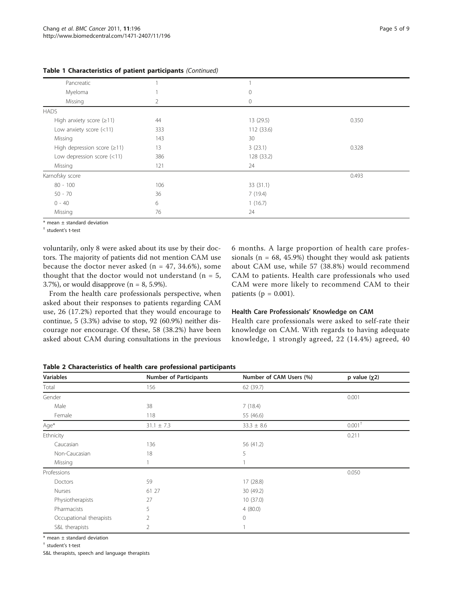| Pancreatic                        |     |            |       |
|-----------------------------------|-----|------------|-------|
| Myeloma                           |     | $\circ$    |       |
| Missing                           | 2   | $\circ$    |       |
| <b>HADS</b>                       |     |            |       |
| High anxiety score $(\geq 11)$    | 44  | 13 (29.5)  | 0.350 |
| Low anxiety score (<11)           | 333 | 112(33.6)  |       |
| Missing                           | 143 | 30         |       |
| High depression score $(\geq 11)$ | 13  | 3(23.1)    | 0.328 |
| Low depression score $(<11)$      | 386 | 128 (33.2) |       |
| Missing                           | 121 | 24         |       |
| Karnofsky score                   |     |            | 0.493 |
| $80 - 100$                        | 106 | 33(31.1)   |       |
| $50 - 70$                         | 36  | 7(19.4)    |       |
| $0 - 40$                          | 6   | 1(16.7)    |       |
| Missing                           | 76  | 24         |       |

<span id="page-4-0"></span>Table 1 Characteristics of patient participants (Continued)

\* mean ± standard deviation

† student's t-test

voluntarily, only 8 were asked about its use by their doctors. The majority of patients did not mention CAM use because the doctor never asked ( $n = 47, 34.6\%$ ), some thought that the doctor would not understand  $(n = 5,$ 3.7%), or would disapprove  $(n = 8, 5.9\%).$ 

From the health care professionals perspective, when asked about their responses to patients regarding CAM use, 26 (17.2%) reported that they would encourage to continue, 5 (3.3%) advise to stop, 92 (60.9%) neither discourage nor encourage. Of these, 58 (38.2%) have been asked about CAM during consultations in the previous 6 months. A large proportion of health care professionals ( $n = 68, 45.9\%$ ) thought they would ask patients about CAM use, while 57 (38.8%) would recommend CAM to patients. Health care professionals who used CAM were more likely to recommend CAM to their patients ( $p = 0.001$ ).

#### Health Care Professionals' Knowledge on CAM

Health care professionals were asked to self-rate their knowledge on CAM. With regards to having adequate knowledge, 1 strongly agreed, 22 (14.4%) agreed, 40

#### Table 2 Characteristics of health care professional participants

| <b>Variables</b>        | <b>Number of Participants</b><br>Number of CAM Users (%) |                | p value $(\chi 2)$   |
|-------------------------|----------------------------------------------------------|----------------|----------------------|
| Total                   | 156                                                      | 62 (39.7)      |                      |
| Gender                  |                                                          |                | 0.001                |
| Male                    | 38                                                       | 7(18.4)        |                      |
| Female                  | 118                                                      | 55 (46.6)      |                      |
| Age*                    | $31.1 \pm 7.3$                                           | $33.3 \pm 8.6$ | $0.001$ <sup>+</sup> |
| Ethnicity               |                                                          |                | 0.211                |
| Caucasian               | 136                                                      | 56 (41.2)      |                      |
| Non-Caucasian           | 18                                                       | 5              |                      |
| Missing                 |                                                          |                |                      |
| Professions             |                                                          |                | 0.050                |
| Doctors                 | 59                                                       | 17(28.8)       |                      |
| Nurses                  | 61 27                                                    | 30 (49.2)      |                      |
| Physiotherapists        | 27                                                       | 10(37.0)       |                      |
| Pharmacists             | 5                                                        | 4(80.0)        |                      |
| Occupational therapists | 2                                                        | 0              |                      |
| S&L therapists          | 2                                                        |                |                      |

 $*$  mean  $\pm$  standard deviation

† student's t-test

S&L therapists, speech and language therapists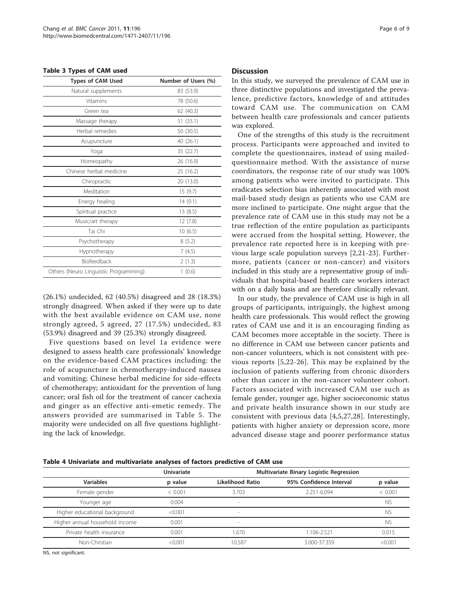#### <span id="page-5-0"></span>Table 3 Types of CAM used

| <b>Types of CAM Used</b>              | Number of Users (%) |  |  |  |
|---------------------------------------|---------------------|--|--|--|
| Natural supplements                   | 83 (53.9)           |  |  |  |
| Vitamins                              | 78 (50.6)           |  |  |  |
| Green tea                             | 62 (40.3)           |  |  |  |
| Massage therapy                       | 51 (33.1)           |  |  |  |
| Herbal remedies                       | 50 (30.5)           |  |  |  |
| Acupuncture                           | 40 (26.1)           |  |  |  |
| Yoga                                  | 35 (22.7)           |  |  |  |
| Homeopathy                            | 26 (16.9)           |  |  |  |
| Chinese herbal medicine               | 25 (16.2)           |  |  |  |
| Chiropractic                          | 20 (13.0)           |  |  |  |
| Meditation                            | 15(9.7)             |  |  |  |
| Energy healing                        | 14(9.1)             |  |  |  |
| Spiritual practice                    | 13(8.5)             |  |  |  |
| Music/art therapy                     | 12(7.8)             |  |  |  |
| Tai Chi                               | 10(6.5)             |  |  |  |
| Psychotherapy                         | 8(5.2)              |  |  |  |
| Hypnotherapy                          | 7(4.5)              |  |  |  |
| <b>Biofeedback</b>                    | 2(1.3)              |  |  |  |
| Others (Neuro Linguistic Programming) | 1(0.6)              |  |  |  |

(26.1%) undecided, 62 (40.5%) disagreed and 28 (18.3%) strongly disagreed. When asked if they were up to date with the best available evidence on CAM use, none strongly agreed, 5 agreed, 27 (17.5%) undecided, 83 (53.9%) disagreed and 39 (25.3%) strongly disagreed.

Five questions based on level 1a evidence were designed to assess health care professionals' knowledge on the evidence-based CAM practices including: the role of acupuncture in chemotherapy-induced nausea and vomiting; Chinese herbal medicine for side-effects of chemotherapy; antioxidant for the prevention of lung cancer; oral fish oil for the treatment of cancer cachexia and ginger as an effective anti-emetic remedy. The answers provided are summarised in Table [5](#page-6-0). The majority were undecided on all five questions highlighting the lack of knowledge.

#### **Discussion**

In this study, we surveyed the prevalence of CAM use in three distinctive populations and investigated the prevalence, predictive factors, knowledge of and attitudes toward CAM use. The communication on CAM between health care professionals and cancer patients was explored.

One of the strengths of this study is the recruitment process. Participants were approached and invited to complete the questionnaires, instead of using mailedquestionnaire method. With the assistance of nurse coordinators, the response rate of our study was 100% among patients who were invited to participate. This eradicates selection bias inherently associated with most mail-based study design as patients who use CAM are more inclined to participate. One might argue that the prevalence rate of CAM use in this study may not be a true reflection of the entire population as participants were accrued from the hospital setting. However, the prevalence rate reported here is in keeping with previous large scale population surveys [\[2](#page-7-0),[21-23\]](#page-8-0). Furthermore, patients (cancer or non-cancer) and visitors included in this study are a representative group of individuals that hospital-based health care workers interact with on a daily basis and are therefore clinically relevant.

In our study, the prevalence of CAM use is high in all groups of participants, intriguingly, the highest among health care professionals. This would reflect the growing rates of CAM use and it is an encouraging finding as CAM becomes more acceptable in the society. There is no difference in CAM use between cancer patients and non-cancer volunteers, which is not consistent with previous reports [\[5,](#page-7-0)[22](#page-8-0)-[26](#page-8-0)]. This may be explained by the inclusion of patients suffering from chronic disorders other than cancer in the non-cancer volunteer cohort. Factors associated with increased CAM use such as female gender, younger age, higher socioeconomic status and private health insurance shown in our study are consistent with previous data [[4,5](#page-7-0),[27,28](#page-8-0)]. Interestingly, patients with higher anxiety or depression score, more advanced disease stage and poorer performance status

|                                | <b>Univariate</b> | Multivariate Binary Logistic Regression |                         |           |  |
|--------------------------------|-------------------|-----------------------------------------|-------------------------|-----------|--|
| <b>Variables</b>               | p value           | Likelihood Ratio                        | 95% Confidence Interval | p value   |  |
| Female gender                  | < 0.001           | 3.703                                   | 2.251-6.094             | < 0.001   |  |
| Younger age                    | 0.004             | $\sim$                                  |                         | <b>NS</b> |  |
| Higher educational background  | < 0.001           | $\sim$                                  |                         | <b>NS</b> |  |
| Higher annual household income | 0.001             | $\overline{\phantom{a}}$                |                         | <b>NS</b> |  |
| Private health insurance       | 0.001             | 1.670                                   | 1.106-2.521             | 0.015     |  |
| Non-Christian                  | < 0.001           | 10.587                                  | 3.000-37.359            | < 0.001   |  |

NS, not significant.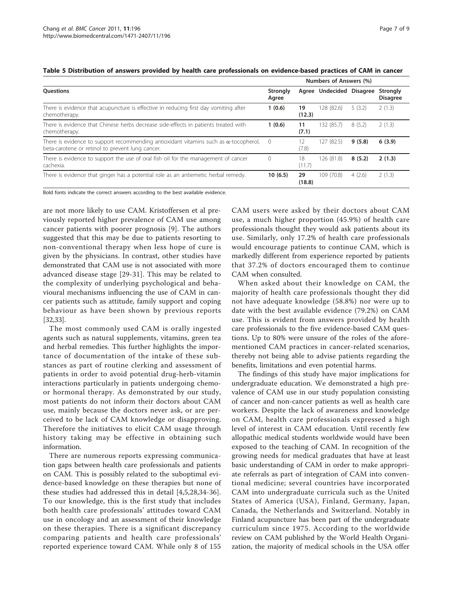|                                                                                                                                                  | Numbers of Answers (%) |              |                          |        |                             |
|--------------------------------------------------------------------------------------------------------------------------------------------------|------------------------|--------------|--------------------------|--------|-----------------------------|
| <b>Ouestions</b>                                                                                                                                 | Strongly<br>Agree      |              | Agree Undecided Disagree |        | Strongly<br><b>Disagree</b> |
| There is evidence that acupuncture is effective in reducing first day vomiting after<br>chemotherapy.                                            | 1(0.6)                 | 19<br>(12.3) | 128 (82.6)               | 5(3.2) | 2(1.3)                      |
| There is evidence that Chinese herbs decrease side-effects in patients treated with<br>chemotherapy.                                             | 1(0.6)                 | 11<br>(7.1)  | 132 (85.7)               | 8(5.2) | 2(1.3)                      |
| There is evidence to support recommending antioxidant vitamins such as $\alpha$ -tocopherol,<br>beta-carotene or retinol to prevent lung cancer. | $\Omega$               | 2<br>(7.8)   | 127 (82.5)               | 9(5.8) | 6(3.9)                      |
| There is evidence to support the use of oral fish oil for the management of cancer<br>cachexia.                                                  | $\Omega$               | 18<br>(11.7) | 126 (81.8)               | 8(5.2) | 2(1.3)                      |
| There is evidence that ginger has a potential role as an antiemetic herbal remedy.                                                               | 10(6.5)                | 29<br>(18.8) | 109 (70.8)               | 4(2.6) | 2(1.3)                      |

#### <span id="page-6-0"></span>Table 5 Distribution of answers provided by health care professionals on evidence-based practices of CAM in cancer

Bold fonts indicate the correct answers according to the best available evidence.

are not more likely to use CAM. Kristoffersen et al previously reported higher prevalence of CAM use among cancer patients with poorer prognosis [[9\]](#page-7-0). The authors suggested that this may be due to patients resorting to non-conventional therapy when less hope of cure is given by the physicians. In contrast, other studies have demonstrated that CAM use is not associated with more advanced disease stage [\[29-31](#page-8-0)]. This may be related to the complexity of underlying psychological and behavioural mechanisms influencing the use of CAM in cancer patients such as attitude, family support and coping behaviour as have been shown by previous reports [[32,33\]](#page-8-0).

The most commonly used CAM is orally ingested agents such as natural supplements, vitamins, green tea and herbal remedies. This further highlights the importance of documentation of the intake of these substances as part of routine clerking and assessment of patients in order to avoid potential drug-herb-vitamin interactions particularly in patients undergoing chemoor hormonal therapy. As demonstrated by our study, most patients do not inform their doctors about CAM use, mainly because the doctors never ask, or are perceived to be lack of CAM knowledge or disapproving. Therefore the initiatives to elicit CAM usage through history taking may be effective in obtaining such information.

There are numerous reports expressing communication gaps between health care professionals and patients on CAM. This is possibly related to the suboptimal evidence-based knowledge on these therapies but none of these studies had addressed this in detail [\[4,5](#page-7-0),[28](#page-8-0),[34-36](#page-8-0)]. To our knowledge, this is the first study that includes both health care professionals' attitudes toward CAM use in oncology and an assessment of their knowledge on these therapies. There is a significant discrepancy comparing patients and health care professionals' reported experience toward CAM. While only 8 of 155

CAM users were asked by their doctors about CAM use, a much higher proportion (45.9%) of health care professionals thought they would ask patients about its use. Similarly, only 17.2% of health care professionals would encourage patients to continue CAM, which is markedly different from experience reported by patients that 37.2% of doctors encouraged them to continue CAM when consulted.

When asked about their knowledge on CAM, the majority of health care professionals thought they did not have adequate knowledge (58.8%) nor were up to date with the best available evidence (79.2%) on CAM use. This is evident from answers provided by health care professionals to the five evidence-based CAM questions. Up to 80% were unsure of the roles of the aforementioned CAM practices in cancer-related scenarios, thereby not being able to advise patients regarding the benefits, limitations and even potential harms.

The findings of this study have major implications for undergraduate education. We demonstrated a high prevalence of CAM use in our study population consisting of cancer and non-cancer patients as well as health care workers. Despite the lack of awareness and knowledge on CAM, health care professionals expressed a high level of interest in CAM education. Until recently few allopathic medical students worldwide would have been exposed to the teaching of CAM. In recognition of the growing needs for medical graduates that have at least basic understanding of CAM in order to make appropriate referrals as part of integration of CAM into conventional medicine; several countries have incorporated CAM into undergraduate curricula such as the United States of America (USA), Finland, Germany, Japan, Canada, the Netherlands and Switzerland. Notably in Finland acupuncture has been part of the undergraduate curriculum since 1975. According to the worldwide review on CAM published by the World Health Organization, the majority of medical schools in the USA offer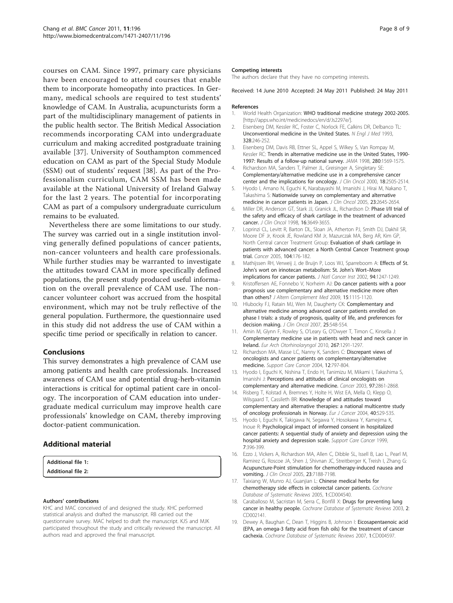<span id="page-7-0"></span>courses on CAM. Since 1997, primary care physicians have been encouraged to attend courses that enable them to incorporate homeopathy into practices. In Germany, medical schools are required to test students' knowledge of CAM. In Australia, acupuncturists form a part of the multidisciplinary management of patients in the public health sector. The British Medical Association recommends incorporating CAM into undergraduate curriculum and making accredited postgraduate training available [[37](#page-8-0)]. University of Southampton commenced education on CAM as part of the Special Study Module (SSM) out of students' request [[38](#page-8-0)]. As part of the Professionalism curriculum, CAM SSM has been made available at the National University of Ireland Galway for the last 2 years. The potential for incorporating CAM as part of a compulsory undergraduate curriculum remains to be evaluated.

Nevertheless there are some limitations to our study. The survey was carried out in a single institution involving generally defined populations of cancer patients, non-cancer volunteers and health care professionals. While further studies may be warranted to investigate the attitudes toward CAM in more specifically defined populations, the present study produced useful information on the overall prevalence of CAM use. The noncancer volunteer cohort was accrued from the hospital environment, which may not be truly reflective of the general population. Furthermore, the questionnaire used in this study did not address the use of CAM within a specific time period or specifically in relation to cancer.

# Conclusions

This survey demonstrates a high prevalence of CAM use among patients and health care professionals. Increased awareness of CAM use and potential drug-herb-vitamin interactions is critical for optimal patient care in oncology. The incorporation of CAM education into undergraduate medical curriculum may improve health care professionals' knowledge on CAM, thereby improving doctor-patient communication.

# Additional material



#### Authors' contributions

KHC and MAC conceived of and designed the study. KHC performed statistical analysis and drafted the manuscript. RB carried out the questionnaire survey. MAC helped to draft the manuscript. KJS and MJK participated throughout the study and critically reviewed the manuscript. All authors read and approved the final manuscript.

#### Competing interests

The authors declare that they have no competing interests.

Received: 14 June 2010 Accepted: 24 May 2011 Published: 24 May 2011

#### References

- 1. World Health Organization: WHO traditional medicine strategy 2002-2005. [[http://apps.who.int/medicinedocs/en/d/Js2297e/\]](http://apps.who.int/medicinedocs/en/d/Js2297e/).
- 2. Eisenberg DM, Kessler RC, Foster C, Norlock FE, Calkins DR, Delbanco TL: [Unconventional medicine in the United States.](http://www.ncbi.nlm.nih.gov/pubmed/8418405?dopt=Abstract) N Engl J Med 1993, 328:246-252.
- 3. Eisenberg DM, Davis RB, Ettner SL, Appel S, Wilkey S, Van Rompay M, Kessler RC: [Trends in alternative medicine use in the United States, 1990-](http://www.ncbi.nlm.nih.gov/pubmed/9820257?dopt=Abstract) [1997: Results of a follow-up national survey.](http://www.ncbi.nlm.nih.gov/pubmed/9820257?dopt=Abstract) JAMA 1998, 280:1569-1575.
- 4. Richardson MA, Sanders T, Palmer JL, Greisinger A, Singletary SE: [Complementary/alternative medicine use in a comprehensive cancer](http://www.ncbi.nlm.nih.gov/pubmed/10893280?dopt=Abstract) [center and the implications for oncology.](http://www.ncbi.nlm.nih.gov/pubmed/10893280?dopt=Abstract) J Clin Oncol 2000, 18:2505-2514.
- 5. Hyodo I, Amano N, Eguchi K, Narabayashi M, Imanishi J, Hirai M, Nakano T, Takashima S: [Nationwide survey on complementary and alternative](http://www.ncbi.nlm.nih.gov/pubmed/15728227?dopt=Abstract) [medicine in cancer patients in Japan.](http://www.ncbi.nlm.nih.gov/pubmed/15728227?dopt=Abstract) J Clin Oncol 2005, 23:2645-2654.
- 6. Miller DR, Anderson GT, Stark JJ, Granick JL, Richardson D: [Phase I/II trial of](http://www.ncbi.nlm.nih.gov/pubmed/9817287?dopt=Abstract) [the safety and efficacy of shark cartilage in the treatment of advanced](http://www.ncbi.nlm.nih.gov/pubmed/9817287?dopt=Abstract) [cancer.](http://www.ncbi.nlm.nih.gov/pubmed/9817287?dopt=Abstract) J Clin Oncol 1998, 16:3649-3655.
- 7. Loprinzi CL, Levitt R, Barton DL, Sloan JA, Atherton PJ, Smith DJ, Dakhil SR, Moore DF Jr, Krook JE, Rowland KM Jr, Mazurczak MA, Berg AR, Kim GP, North Central cancer Treatment Group: [Evaluation of shark cartilage in](http://www.ncbi.nlm.nih.gov/pubmed/15912493?dopt=Abstract) [patients with advanced cancer: a North Central Cancer Treatment group](http://www.ncbi.nlm.nih.gov/pubmed/15912493?dopt=Abstract) [trial.](http://www.ncbi.nlm.nih.gov/pubmed/15912493?dopt=Abstract) Cancer 2005, 104:176-182.
- 8. Mathijssen RH, Verweij J, de Bruijn P, Loos WJ, Sparreboom A: [Effects of St.](http://www.ncbi.nlm.nih.gov/pubmed/12189228?dopt=Abstract) John'[s wort on irinotecan metabolism: St. John](http://www.ncbi.nlm.nih.gov/pubmed/12189228?dopt=Abstract)'s Wort–More [implications for cancer patients.](http://www.ncbi.nlm.nih.gov/pubmed/12189228?dopt=Abstract) J Natl Cancer Inst 2002, 94:1247-1249
- 9. Kristoffersen AE, Fonnebo V, Norheim AJ: [Do cancer patients with a poor](http://www.ncbi.nlm.nih.gov/pubmed/19848548?dopt=Abstract) [prognosis use complementary and alternative medicine more often](http://www.ncbi.nlm.nih.gov/pubmed/19848548?dopt=Abstract) [than others?](http://www.ncbi.nlm.nih.gov/pubmed/19848548?dopt=Abstract) J Altern Complement Med 2009, 15:1115-1120.
- 10. Hlubocky FJ, Ratain MJ, Wen M, Daugherty CK: [Complementary and](http://www.ncbi.nlm.nih.gov/pubmed/17290064?dopt=Abstract) [alternative medicine among advanced cancer patients enrolled on](http://www.ncbi.nlm.nih.gov/pubmed/17290064?dopt=Abstract) [phase I trials: a study of prognosis, quality of life, and preferences for](http://www.ncbi.nlm.nih.gov/pubmed/17290064?dopt=Abstract) [decision making.](http://www.ncbi.nlm.nih.gov/pubmed/17290064?dopt=Abstract) J Clin Oncol 2007, 25:548-554.
- 11. Amin M, Glynn F, Rowley S, O'Leary G, O'Dwyer T, Timon C, Kinsella J: [Complementary medicine use in patients with head and neck cancer in](http://www.ncbi.nlm.nih.gov/pubmed/20229270?dopt=Abstract) [Ireland.](http://www.ncbi.nlm.nih.gov/pubmed/20229270?dopt=Abstract) Eur Arch Otorhinolaryngol 2010, 267:1291-1297.
- 12. Richardson MA, Masse LC, Nanny K, Sanders C: [Discrepant views of](http://www.ncbi.nlm.nih.gov/pubmed/15378417?dopt=Abstract) [oncologists and cancer patients on complementary/alternative](http://www.ncbi.nlm.nih.gov/pubmed/15378417?dopt=Abstract) [medicine.](http://www.ncbi.nlm.nih.gov/pubmed/15378417?dopt=Abstract) Support Care Cancer 2004, 12:797-804.
- 13. Hyodo I, Eguchi K, Nishina T, Endo H, Tanimizu M, Mikami I, Takashima S, Imanishi J: [Perceptions and attitudes of clinical oncologists on](http://www.ncbi.nlm.nih.gov/pubmed/12767101?dopt=Abstract) [complementary and alternative medicine.](http://www.ncbi.nlm.nih.gov/pubmed/12767101?dopt=Abstract) Cancer 2003, 97:2861-2868.
- 14. Risberg T, Kolstad A, Bremnes Y, Holte H, Wist EA, Mella O, Klepp O, Wilsgaard T, Cassileth BR: [Knowledge of and attitudes toward](http://www.ncbi.nlm.nih.gov/pubmed/14962719?dopt=Abstract) [complementary and alternative therapies: a national multicentre study](http://www.ncbi.nlm.nih.gov/pubmed/14962719?dopt=Abstract) [of oncology professionals in Norway.](http://www.ncbi.nlm.nih.gov/pubmed/14962719?dopt=Abstract) Eur J Cancer 2004, 40:529-535.
- 15. Hyodo I, Eguchi K, Takigawa N, Segawa Y, Hosokawa Y, Kamejima K, Inoue R: [Psychological impact of informed consent in hospitalized](http://www.ncbi.nlm.nih.gov/pubmed/10541981?dopt=Abstract) [cancer patients: A sequential study of anxiety and depression using the](http://www.ncbi.nlm.nih.gov/pubmed/10541981?dopt=Abstract) [hospital anxiety and depression scale.](http://www.ncbi.nlm.nih.gov/pubmed/10541981?dopt=Abstract) Support Care Cancer 1999, 7:396-399.
- 16. Ezzo J, Vickers A, Richardson MA, Allen C, Dibble SL, Issell B, Lao L, Pearl M, Ramirez G, Roscoe JA, Shen J, Shivnan JC, Streitberger K, Treish I, Zhang G: [Acupuncture-Point stimulation for chemotherapy-induced nausea and](http://www.ncbi.nlm.nih.gov/pubmed/16192603?dopt=Abstract) [vomiting.](http://www.ncbi.nlm.nih.gov/pubmed/16192603?dopt=Abstract) J Clin Oncol 2005, 23:7188-7198.
- 17. Taixiang W, Munro AJ, Guanjian L: Chinese medical herbs for chemotherapy side effects in colorectal cancer patients. Cochrane Database of Systematic Reviews 2005, 1:CD004540.
- 18. Caraballoso M, Sacristan M, Serra C, Bonfill X: Drugs for preventing lung cancer in healthy people. Cochrane Database of Systematic Reviews 2003, 2: CD002141.
- 19. Dewey A, Baughan C, Dean T, Higgins B, Johnson I: Eicosapentaenoic acid (EPA, an omega-3 fatty acid from fish oils) for the treatment of cancer cachexia. Cochrane Database of Systematic Reviews 2007, 1:CD004597.